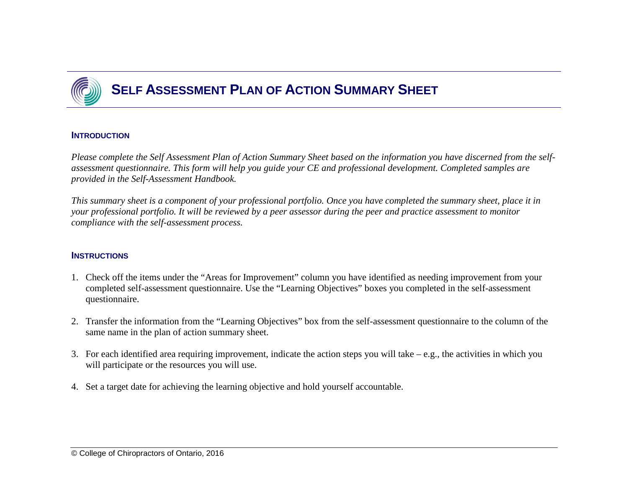

# **SELF ASSESSMENT PLAN OF ACTION SUMMARY SHEET**

#### **INTRODUCTION**

Please complete the Self Assessment Plan of Action Summary Sheet based on the information you have discerned from the self*assessment questionnaire. This form will help you guide your CE and professional development. Completed samples are provided in the Self-Assessment Handbook.*

*This summary sheet is a component of your professional portfolio. Once you have completed the summary sheet, place it in your professional portfolio. It will be reviewed by a peer assessor during the peer and practice assessment to monitor compliance with the self-assessment process.*

#### **INSTRUCTIONS**

- 1. Check off the items under the "Areas for Improvement" column you have identified as needing improvement from your completed self-assessment questionnaire. Use the "Learning Objectives" boxes you completed in the self-assessment questionnaire.
- 2. Transfer the information from the "Learning Objectives" box from the self-assessment questionnaire to the column of the same name in the plan of action summary sheet.
- 3. For each identified area requiring improvement, indicate the action steps you will take e.g., the activities in which you will participate or the resources you will use.
- 4. Set a target date for achieving the learning objective and hold yourself accountable.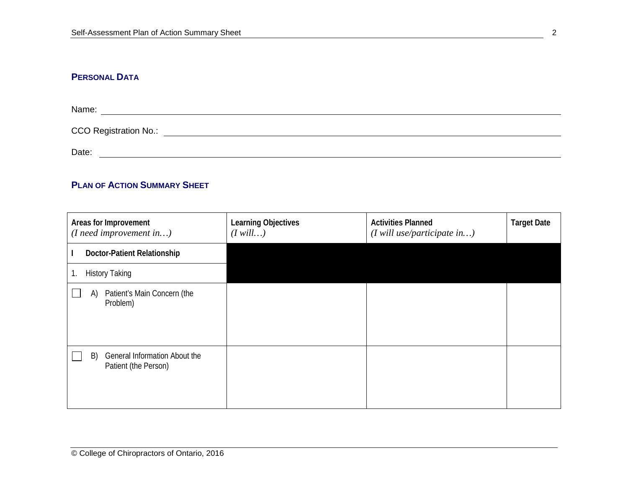## **PERSONAL DATA**

| Name:                        |  |  |  |
|------------------------------|--|--|--|
| <b>CCO Registration No.:</b> |  |  |  |
| Date:                        |  |  |  |

## **PLAN OF ACTION SUMMARY SHEET**

| Areas for Improvement<br>$(I \nneed \nimprovement \nin)$    | Learning Objectives<br>$(I$ will) | <b>Activities Planned</b><br>$(I$ will use/participate in) | <b>Target Date</b> |
|-------------------------------------------------------------|-----------------------------------|------------------------------------------------------------|--------------------|
| Doctor-Patient Relationship                                 |                                   |                                                            |                    |
| <b>History Taking</b><br>Ί.                                 |                                   |                                                            |                    |
| Patient's Main Concern (the<br>A)<br>Problem)               |                                   |                                                            |                    |
| General Information About the<br>B)<br>Patient (the Person) |                                   |                                                            |                    |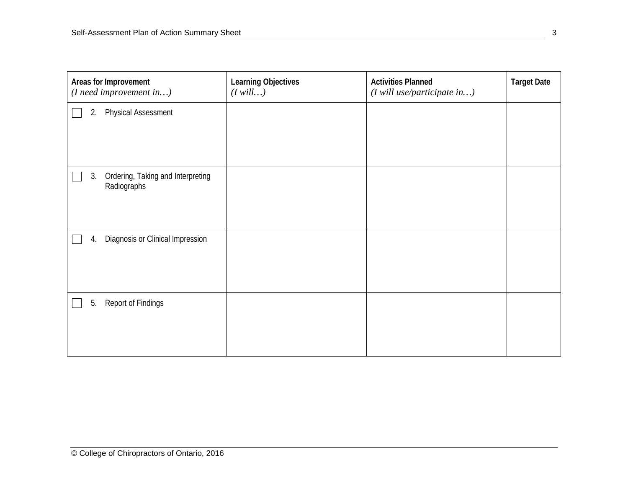| Areas for Improvement<br>$(I \nneed \nimprovement \nin)$ | Learning Objectives<br>$(I$ will) | <b>Activities Planned</b><br>(I will use/participate in) | <b>Target Date</b> |
|----------------------------------------------------------|-----------------------------------|----------------------------------------------------------|--------------------|
| <b>Physical Assessment</b><br>2.                         |                                   |                                                          |                    |
| Ordering, Taking and Interpreting<br>3.<br>Radiographs   |                                   |                                                          |                    |
| Diagnosis or Clinical Impression<br>4.                   |                                   |                                                          |                    |
| Report of Findings<br>5.                                 |                                   |                                                          |                    |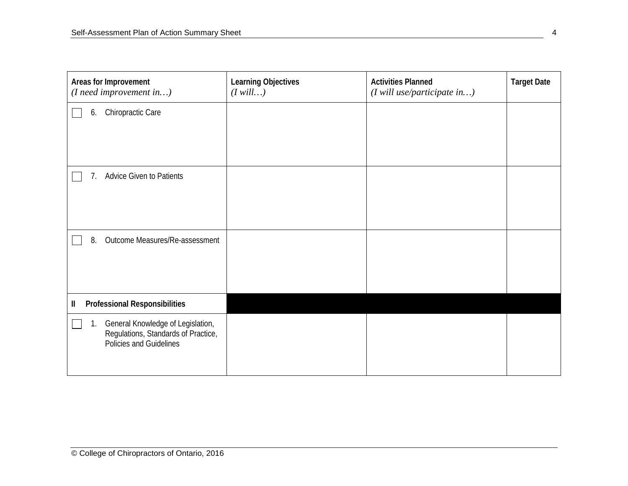| Areas for Improvement<br>(I need improvement in)                                                          | Learning Objectives<br>$(I$ will) | <b>Activities Planned</b><br>(I will use/participate in) | <b>Target Date</b> |
|-----------------------------------------------------------------------------------------------------------|-----------------------------------|----------------------------------------------------------|--------------------|
| Chiropractic Care<br>6.                                                                                   |                                   |                                                          |                    |
| <b>Advice Given to Patients</b><br>7.                                                                     |                                   |                                                          |                    |
| Outcome Measures/Re-assessment<br>8.                                                                      |                                   |                                                          |                    |
| <b>Professional Responsibilities</b><br>Ш                                                                 |                                   |                                                          |                    |
| General Knowledge of Legislation,<br>1.<br>Regulations, Standards of Practice,<br>Policies and Guidelines |                                   |                                                          |                    |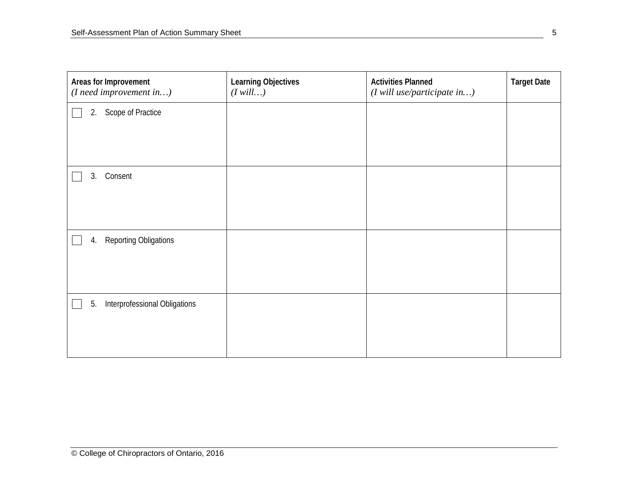| Areas for Improvement<br>$(I \nneed \nimprovement \nin)$ | Learning Objectives<br>$(I \text{ will})$ | <b>Activities Planned</b><br>$(I$ will use/participate in) | <b>Target Date</b> |
|----------------------------------------------------------|-------------------------------------------|------------------------------------------------------------|--------------------|
| Scope of Practice<br>2.                                  |                                           |                                                            |                    |
|                                                          |                                           |                                                            |                    |
|                                                          |                                           |                                                            |                    |
| Consent<br>3.                                            |                                           |                                                            |                    |
|                                                          |                                           |                                                            |                    |
|                                                          |                                           |                                                            |                    |
| <b>Reporting Obligations</b><br>4.                       |                                           |                                                            |                    |
|                                                          |                                           |                                                            |                    |
|                                                          |                                           |                                                            |                    |
| Interprofessional Obligations<br>5.                      |                                           |                                                            |                    |
|                                                          |                                           |                                                            |                    |
|                                                          |                                           |                                                            |                    |
|                                                          |                                           |                                                            |                    |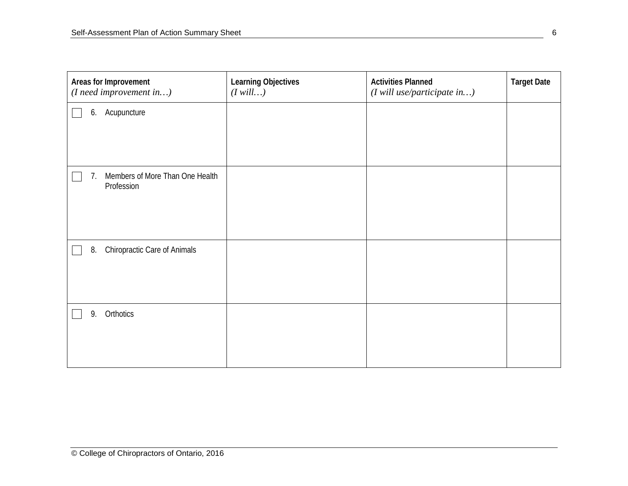| Areas for Improvement<br>$(I \nneed \nimport input \n)$ | Learning Objectives<br>$(I$ will) | <b>Activities Planned</b><br>(I will use/participate in) | <b>Target Date</b> |
|---------------------------------------------------------|-----------------------------------|----------------------------------------------------------|--------------------|
| Acupuncture<br>6.                                       |                                   |                                                          |                    |
|                                                         |                                   |                                                          |                    |
| Members of More Than One Health<br>7.<br>Profession     |                                   |                                                          |                    |
| Chiropractic Care of Animals<br>8.                      |                                   |                                                          |                    |
| Orthotics<br>9.                                         |                                   |                                                          |                    |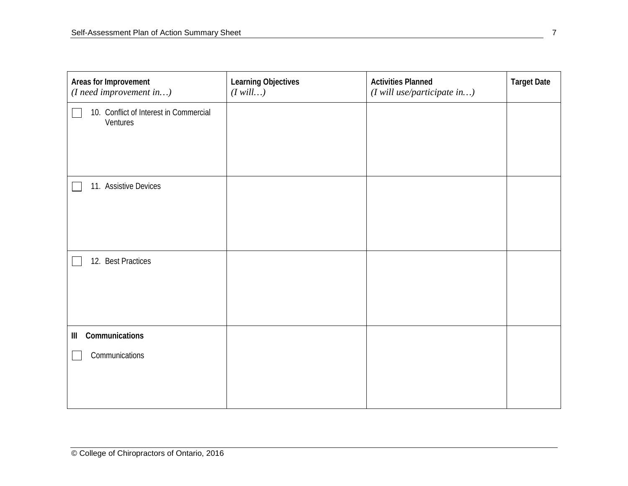| Areas for Improvement                              | Learning Objectives<br>$(I$ will) | <b>Activities Planned</b><br>$(I$ will use/participate in) | <b>Target Date</b> |
|----------------------------------------------------|-----------------------------------|------------------------------------------------------------|--------------------|
| 10. Conflict of Interest in Commercial<br>Ventures |                                   |                                                            |                    |
|                                                    |                                   |                                                            |                    |
| 11. Assistive Devices                              |                                   |                                                            |                    |
|                                                    |                                   |                                                            |                    |
| 12. Best Practices                                 |                                   |                                                            |                    |
|                                                    |                                   |                                                            |                    |
| Communications<br>Ш                                |                                   |                                                            |                    |
| Communications                                     |                                   |                                                            |                    |
|                                                    |                                   |                                                            |                    |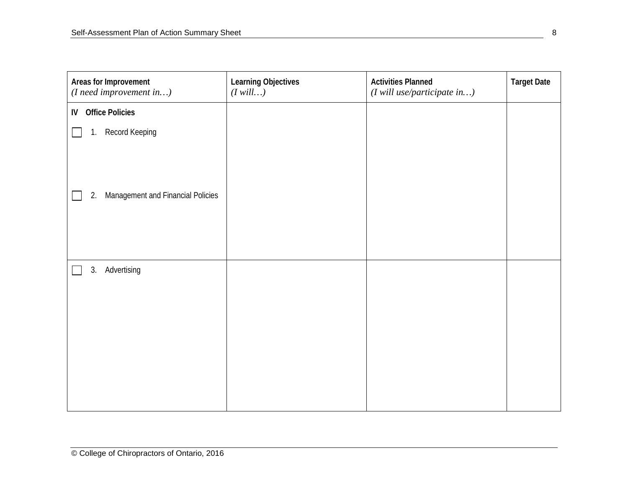| Learning Objectives<br>$(I$ will) | <b>Activities Planned</b><br>$(I$ will use/participate in) | <b>Target Date</b> |
|-----------------------------------|------------------------------------------------------------|--------------------|
|                                   |                                                            |                    |
|                                   |                                                            |                    |
|                                   |                                                            |                    |
|                                   |                                                            |                    |
|                                   |                                                            |                    |
|                                   |                                                            |                    |
|                                   |                                                            |                    |
|                                   |                                                            |                    |
|                                   |                                                            |                    |
|                                   |                                                            |                    |
|                                   |                                                            |                    |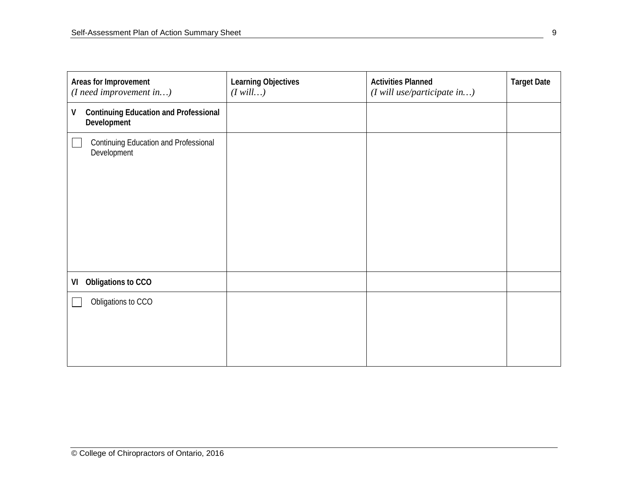| Areas for Improvement<br>$(I \nneed \nimport input \n)$          | Learning Objectives<br>$(I$ will) | <b>Activities Planned</b><br>$(I$ will use/participate in) | <b>Target Date</b> |
|------------------------------------------------------------------|-----------------------------------|------------------------------------------------------------|--------------------|
| <b>Continuing Education and Professional</b><br>۷<br>Development |                                   |                                                            |                    |
| <b>Continuing Education and Professional</b><br>Development      |                                   |                                                            |                    |
| Obligations to CCO<br>VI                                         |                                   |                                                            |                    |
| Obligations to CCO                                               |                                   |                                                            |                    |